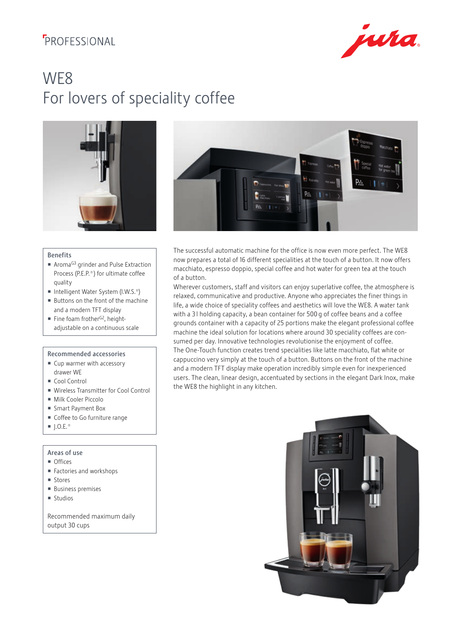## **FROFFSSIONAL**



# WE8 For lovers of speciality coffee



## Benefits

- Aroma<sup>G3</sup> grinder and Pulse Extraction Process (P.E.P.®) for ultimate coffee quality
- Intelligent Water System (I.W.S. $^{\circ}$ )
- Buttons on the front of the machine and a modern TFT display
- Fine foam frother<sup>G2</sup>, heightadjustable on a continuous scale

## Recommended accessories

- Cup warmer with accessory drawer WE
- Cool Control
- Wireless Transmitter for Cool Control
- Milk Cooler Piccolo
- Smart Payment Box
- Coffee to Go furniture range
- $\blacksquare$  I.O.E.

## Areas of use

- **Offices**
- Factories and workshops
- **Stores**
- **Business premises**
- **Studios**

Recommended maximum daily output 30 cups



The successful automatic machine for the office is now even more perfect. The WE8 now prepares a total of 16 different specialities at the touch of a button. It now offers macchiato, espresso doppio, special coffee and hot water for green tea at the touch of a button.

Wherever customers, staff and visitors can enjoy superlative coffee, the atmosphere is relaxed, communicative and productive. Anyone who appreciates the finer things in life, a wide choice of speciality coffees and aesthetics will love the WE8. A water tank with a 31 holding capacity, a bean container for 500 g of coffee beans and a coffee grounds container with a capacity of 25 portions make the elegant professional coffee machine the ideal solution for locations where around 30 speciality coffees are consumed per day. Innovative technologies revolutionise the enjoyment of coffee. The One-Touch function creates trend specialities like latte macchiato, flat white or cappuccino very simply at the touch of a button. Buttons on the front of the machine and a modern TFT display make operation incredibly simple even for inexperienced users. The clean, linear design, accentuated by sections in the elegant Dark Inox, make the WE8 the highlight in any kitchen.